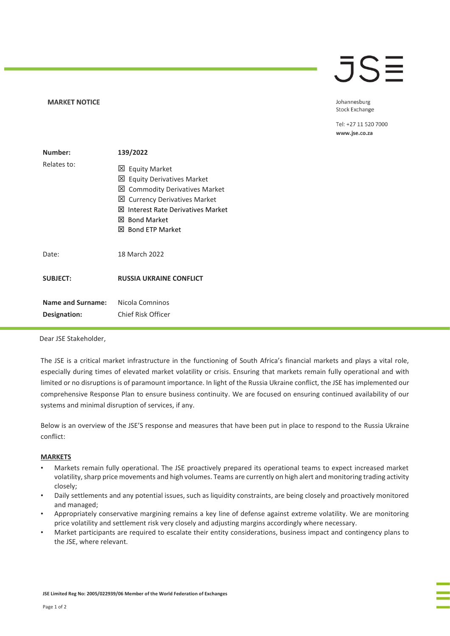## **MARKET NOTICE**

**JSE** 

Johannesburg **Stock Exchange** 

Tel: +27 11 520 7000 www.jse.co.za

| Number:                                  | 139/2022                                                                                                                                                                                             |
|------------------------------------------|------------------------------------------------------------------------------------------------------------------------------------------------------------------------------------------------------|
| Relates to:                              | <b>区 Equity Market</b><br>凶 Equity Derivatives Market<br>凶 Commodity Derivatives Market<br>凶 Currency Derivatives Market<br>⊠ Interest Rate Derivatives Market<br>⊠ Bond Market<br>区 Bond ETP Market |
| Date:                                    | 18 March 2022                                                                                                                                                                                        |
| <b>SUBJECT:</b>                          | <b>RUSSIA UKRAINE CONFLICT</b>                                                                                                                                                                       |
| <b>Name and Surname:</b><br>Designation: | Nicola Comninos<br>Chief Risk Officer                                                                                                                                                                |

Dear JSE Stakeholder,

The JSE is a critical market infrastructure in the functioning of South Africa's financial markets and plays a vital role, especially during times of elevated market volatility or crisis. Ensuring that markets remain fully operational and with limited or no disruptions is of paramount importance. In light of the Russia Ukraine conflict, the JSE has implemented our comprehensive Response Plan to ensure business continuity. We are focused on ensuring continued availability of our systems and minimal disruption of services, if any.

Below is an overview of the JSE'S response and measures that have been put in place to respond to the Russia Ukraine conflict:

## **MARKETS**

- Markets remain fully operational. The JSE proactively prepared its operational teams to expect increased market volatility, sharp price movements and high volumes. Teams are currently on high alert and monitoring trading activity closely;
- Daily settlements and any potential issues, such as liquidity constraints, are being closely and proactively monitored and managed;
- Appropriately conservative margining remains a key line of defense against extreme volatility. We are monitoring price volatility and settlement risk very closely and adjusting margins accordingly where necessary.
- Market participants are required to escalate their entity considerations, business impact and contingency plans to the JSE, where relevant.